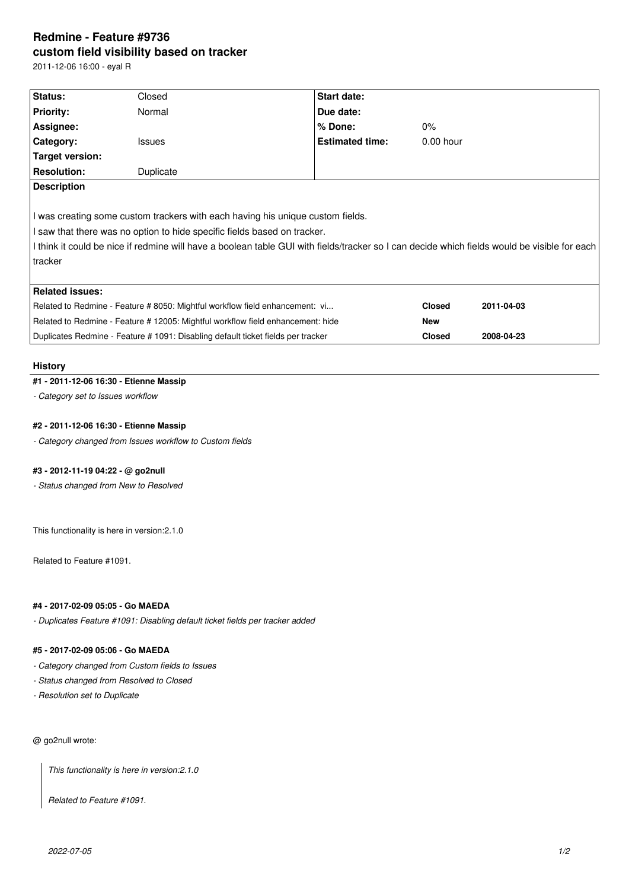# **Redmine - Feature #9736 custom field visibility based on tracker**

2011-12-06 16:00 - eyal R

| Status:                                                                                                                                                                                                                                                                                                               | Closed        |  | <b>Start date:</b>     |               |            |
|-----------------------------------------------------------------------------------------------------------------------------------------------------------------------------------------------------------------------------------------------------------------------------------------------------------------------|---------------|--|------------------------|---------------|------------|
| <b>Priority:</b>                                                                                                                                                                                                                                                                                                      | Normal        |  | Due date:              |               |            |
| Assignee:                                                                                                                                                                                                                                                                                                             |               |  | % Done:                | $0\%$         |            |
| Category:                                                                                                                                                                                                                                                                                                             | <b>Issues</b> |  | <b>Estimated time:</b> | $0.00$ hour   |            |
| Target version:                                                                                                                                                                                                                                                                                                       |               |  |                        |               |            |
| <b>Resolution:</b>                                                                                                                                                                                                                                                                                                    | Duplicate     |  |                        |               |            |
| I was creating some custom trackers with each having his unique custom fields.<br>I saw that there was no option to hide specific fields based on tracker.<br>I think it could be nice if redmine will have a boolean table GUI with fields/tracker so I can decide which fields would be visible for each<br>tracker |               |  |                        |               |            |
| <b>Related issues:</b>                                                                                                                                                                                                                                                                                                |               |  |                        |               |            |
| Related to Redmine - Feature # 8050: Mightful workflow field enhancement: vi                                                                                                                                                                                                                                          |               |  |                        | <b>Closed</b> | 2011-04-03 |
| Related to Redmine - Feature # 12005: Mightful workflow field enhancement: hide                                                                                                                                                                                                                                       |               |  |                        | <b>New</b>    |            |
| Duplicates Redmine - Feature # 1091: Disabling default ticket fields per tracker                                                                                                                                                                                                                                      |               |  |                        | <b>Closed</b> | 2008-04-23 |

### **History**

## **#1 - 2011-12-06 16:30 - Etienne Massip**

*- Category set to Issues workflow*

### **#2 - 2011-12-06 16:30 - Etienne Massip**

*- Category changed from Issues workflow to Custom fields*

# **#3 - 2012-11-19 04:22 - @ go2null**

*- Status changed from New to Resolved*

This functionality is here in version:2.1.0

Related to Feature #1091.

### **#4 - 2017-02-09 05:05 - Go MAEDA**

*- Duplicates Feature #1091: Disabling default ticket fields per tracker added*

### **#5 - 2017-02-09 05:06 - Go MAEDA**

- *Category changed from Custom fields to Issues*
- *Status changed from Resolved to Closed*
- *Resolution set to Duplicate*

## @ go2null wrote:

*This functionality is here in version:2.1.0*

*Related to Feature #1091.*